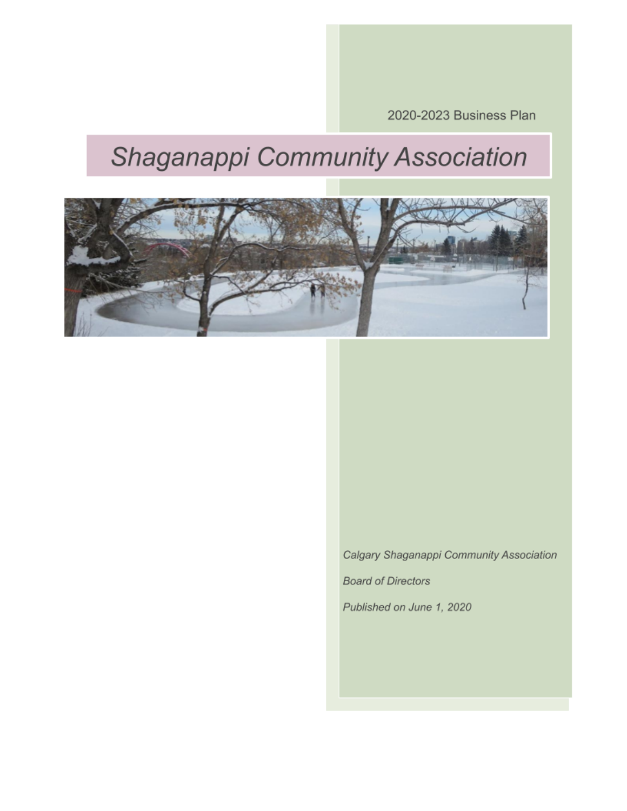2020-2023 Business Plan

# Shaganappi Community Association



Calgary Shaganappi Community Association **Board of Directors** Published on June 1, 2020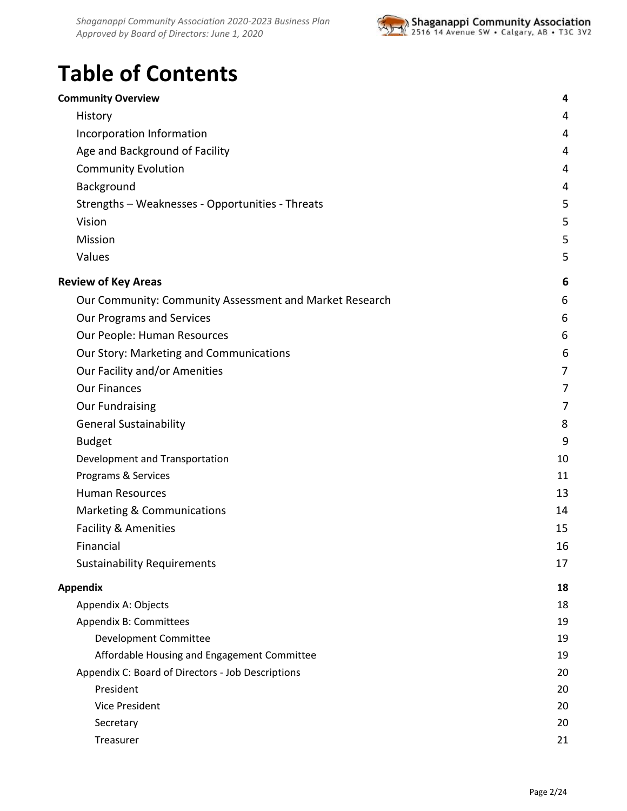

# **Table of Contents**

| <b>Community Overview</b>                               | 4  |
|---------------------------------------------------------|----|
| History                                                 | 4  |
| Incorporation Information                               | 4  |
| Age and Background of Facility                          | 4  |
| <b>Community Evolution</b>                              | 4  |
| Background                                              | 4  |
| Strengths - Weaknesses - Opportunities - Threats        | 5  |
| Vision                                                  | 5  |
| Mission                                                 | 5  |
| Values                                                  | 5  |
| <b>Review of Key Areas</b>                              | 6  |
| Our Community: Community Assessment and Market Research | 6  |
| Our Programs and Services                               | 6  |
| Our People: Human Resources                             | 6  |
| Our Story: Marketing and Communications                 | 6  |
| Our Facility and/or Amenities                           | 7  |
| <b>Our Finances</b>                                     | 7  |
| <b>Our Fundraising</b>                                  | 7  |
| <b>General Sustainability</b>                           | 8  |
| <b>Budget</b>                                           | 9  |
| Development and Transportation                          | 10 |
| Programs & Services                                     | 11 |
| <b>Human Resources</b>                                  | 13 |
| Marketing & Communications                              | 14 |
| <b>Facility &amp; Amenities</b>                         | 15 |
| Financial                                               | 16 |
| <b>Sustainability Requirements</b>                      | 17 |
| <b>Appendix</b>                                         | 18 |
| Appendix A: Objects                                     | 18 |
| Appendix B: Committees                                  | 19 |
| Development Committee                                   | 19 |
| Affordable Housing and Engagement Committee             | 19 |
| Appendix C: Board of Directors - Job Descriptions       | 20 |
| President                                               | 20 |
| <b>Vice President</b>                                   | 20 |
| Secretary                                               | 20 |
| Treasurer                                               | 21 |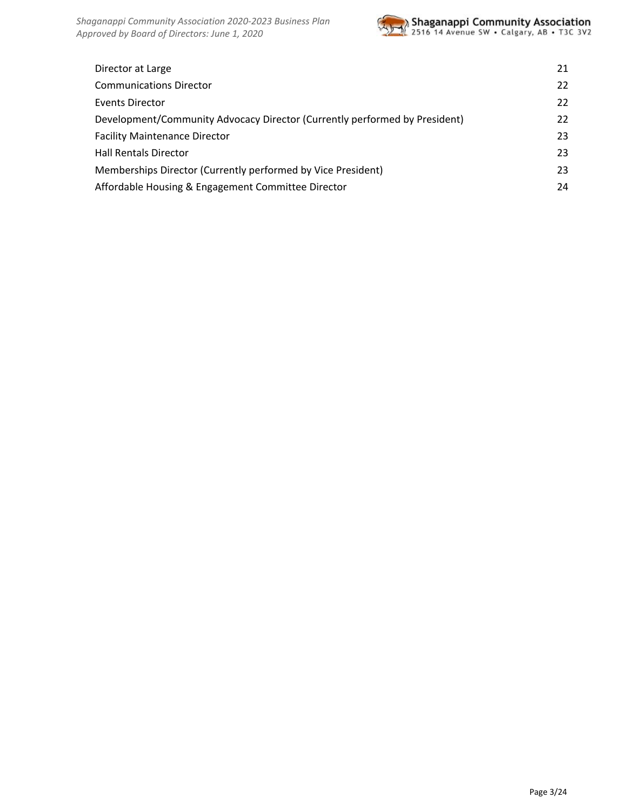

| Director at Large                                                          | 21 |
|----------------------------------------------------------------------------|----|
| <b>Communications Director</b>                                             | 22 |
| Events Director                                                            | 22 |
| Development/Community Advocacy Director (Currently performed by President) | 22 |
| <b>Facility Maintenance Director</b>                                       | 23 |
| <b>Hall Rentals Director</b>                                               | 23 |
| Memberships Director (Currently performed by Vice President)               | 23 |
| Affordable Housing & Engagement Committee Director                         | 24 |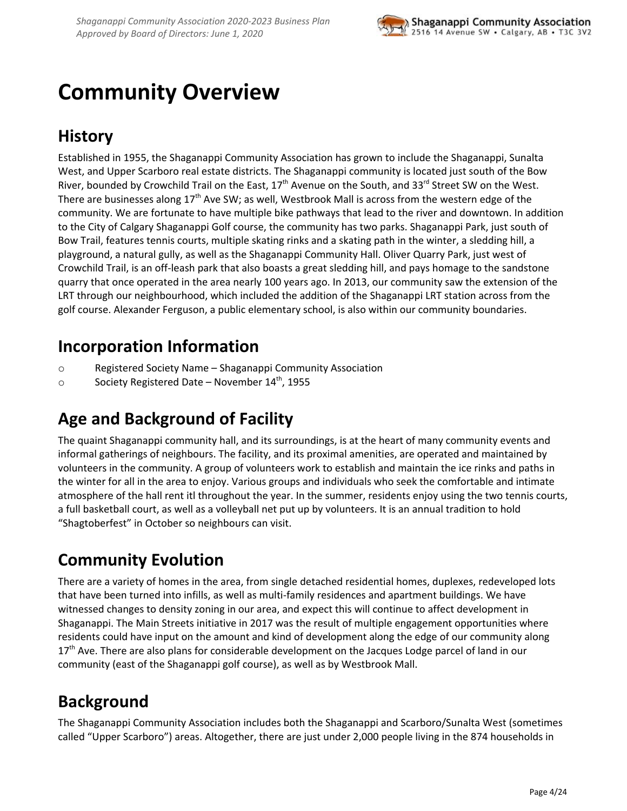

# <span id="page-3-0"></span>**Community Overview**

# <span id="page-3-1"></span>**History**

Established in 1955, the Shaganappi Community Association has grown to include the Shaganappi, Sunalta West, and Upper Scarboro real estate districts. The Shaganappi community is located just south of the Bow River, bounded by Crowchild Trail on the East, 17<sup>th</sup> Avenue on the South, and 33<sup>rd</sup> Street SW on the West. There are businesses along 17<sup>th</sup> Ave SW; as well, Westbrook Mall is across from the western edge of the community. We are fortunate to have multiple bike pathways that lead to the river and downtown. In addition to the City of Calgary Shaganappi Golf course, the community has two parks. Shaganappi Park, just south of Bow Trail, features tennis courts, multiple skating rinks and a skating path in the winter, a sledding hill, a playground, a natural gully, as well as the Shaganappi Community Hall. Oliver Quarry Park, just west of Crowchild Trail, is an off-leash park that also boasts a great sledding hill, and pays homage to the sandstone quarry that once operated in the area nearly 100 years ago. In 2013, our community saw the extension of the LRT through our neighbourhood, which included the addition of the Shaganappi LRT station across from the golf course. Alexander Ferguson, a public elementary school, is also within our community boundaries.

## <span id="page-3-2"></span>**Incorporation Information**

- o Registered Society Name Shaganappi Community Association
- <span id="page-3-3"></span>o Society Registered Date - November 14<sup>th</sup>, 1955

# **Age and Background of Facility**

The quaint Shaganappi community hall, and its surroundings, is at the heart of many community events and informal gatherings of neighbours. The facility, and its proximal amenities, are operated and maintained by volunteers in the community. A group of volunteers work to establish and maintain the ice rinks and paths in the winter for all in the area to enjoy. Various groups and individuals who seek the comfortable and intimate atmosphere of the hall rent itl throughout the year. In the summer, residents enjoy using the two tennis courts, a full basketball court, as well as a volleyball net put up by volunteers. It is an annual tradition to hold "Shagtoberfest" in October so neighbours can visit.

# <span id="page-3-4"></span>**Community Evolution**

There are a variety of homes in the area, from single detached residential homes, duplexes, redeveloped lots that have been turned into infills, as well as multi-family residences and apartment buildings. We have witnessed changes to density zoning in our area, and expect this will continue to affect development in Shaganappi. The Main Streets initiative in 2017 was the result of multiple engagement opportunities where residents could have input on the amount and kind of development along the edge of our community along 17<sup>th</sup> Ave. There are also plans for considerable development on the Jacques Lodge parcel of land in our community (east of the Shaganappi golf course), as well as by Westbrook Mall.

# <span id="page-3-5"></span>**Background**

The Shaganappi Community Association includes both the Shaganappi and Scarboro/Sunalta West (sometimes called "Upper Scarboro") areas. Altogether, there are just under 2,000 people living in the 874 households in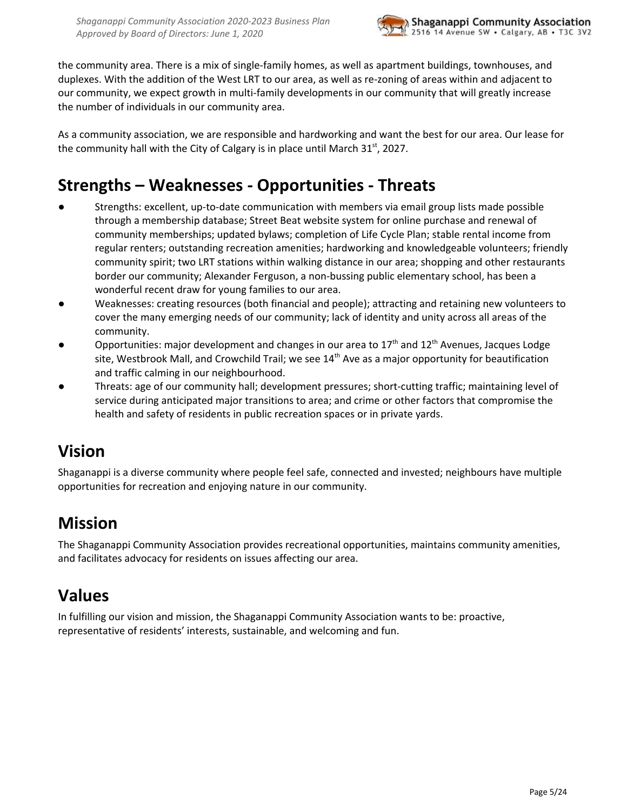

the community area. There is a mix of single-family homes, as well as apartment buildings, townhouses, and duplexes. With the addition of the West LRT to our area, as well as re-zoning of areas within and adjacent to our community, we expect growth in multi-family developments in our community that will greatly increase the number of individuals in our community area.

As a community association, we are responsible and hardworking and want the best for our area. Our lease for the community hall with the City of Calgary is in place until March 31 $^{\rm st}$ , 2027.

# <span id="page-4-0"></span>**Strengths – Weaknesses - Opportunities - Threats**

- Strengths: excellent, up-to-date communication with members via email group lists made possible through a membership database; Street Beat website system for online purchase and renewal of community memberships; updated bylaws; completion of Life Cycle Plan; stable rental income from regular renters; outstanding recreation amenities; hardworking and knowledgeable volunteers; friendly community spirit; two LRT stations within walking distance in our area; shopping and other restaurants border our community; Alexander Ferguson, a non-bussing public elementary school, has been a wonderful recent draw for young families to our area.
- Weaknesses: creating resources (both financial and people); attracting and retaining new volunteers to cover the many emerging needs of our community; lack of identity and unity across all areas of the community.
- **•** Opportunities: major development and changes in our area to 17<sup>th</sup> and 12<sup>th</sup> Avenues, Jacques Lodge site, Westbrook Mall, and Crowchild Trail; we see 14<sup>th</sup> Ave as a major opportunity for beautification and traffic calming in our neighbourhood.
- Threats: age of our community hall; development pressures; short-cutting traffic; maintaining level of service during anticipated major transitions to area; and crime or other factors that compromise the health and safety of residents in public recreation spaces or in private yards.

### <span id="page-4-1"></span>**Vision**

Shaganappi is a diverse community where people feel safe, connected and invested; neighbours have multiple opportunities for recreation and enjoying nature in our community.

# <span id="page-4-2"></span>**Mission**

The Shaganappi Community Association provides recreational opportunities, maintains community amenities, and facilitates advocacy for residents on issues affecting our area.

# <span id="page-4-3"></span>**Values**

In fulfilling our vision and mission, the Shaganappi Community Association wants to be: proactive, representative of residents' interests, sustainable, and welcoming and fun.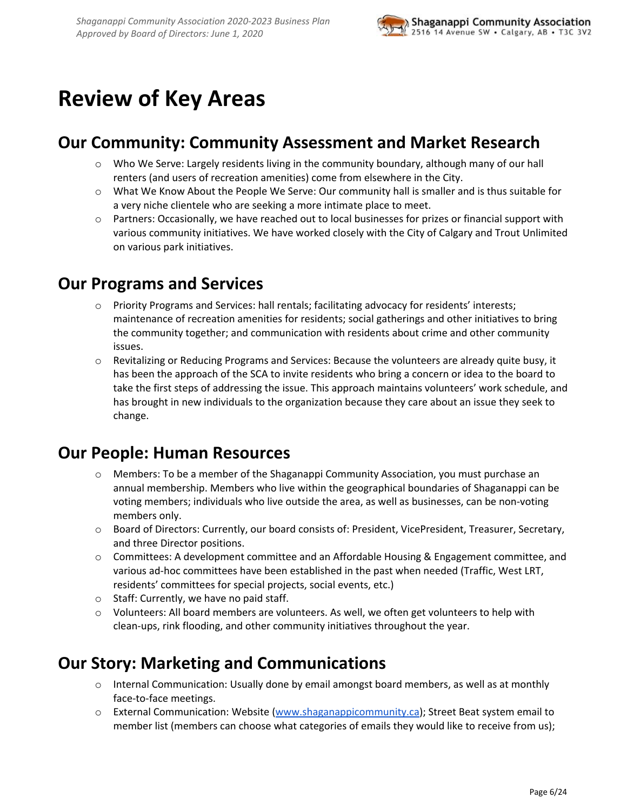# <span id="page-5-0"></span>**Review of Key Areas**

## <span id="page-5-1"></span>**Our Community: Community Assessment and Market Research**

- o Who We Serve: Largely residents living in the community boundary, although many of our hall renters (and users of recreation amenities) come from elsewhere in the City.
- o What We Know About the People We Serve: Our community hall is smaller and is thus suitable for a very niche clientele who are seeking a more intimate place to meet.
- o Partners: Occasionally, we have reached out to local businesses for prizes or financial support with various community initiatives. We have worked closely with the City of Calgary and Trout Unlimited on various park initiatives.

### <span id="page-5-2"></span>**Our Programs and Services**

- o Priority Programs and Services: hall rentals; facilitating advocacy for residents' interests; maintenance of recreation amenities for residents; social gatherings and other initiatives to bring the community together; and communication with residents about crime and other community issues.
- o Revitalizing or Reducing Programs and Services: Because the volunteers are already quite busy, it has been the approach of the SCA to invite residents who bring a concern or idea to the board to take the first steps of addressing the issue. This approach maintains volunteers' work schedule, and has brought in new individuals to the organization because they care about an issue they seek to change.

# <span id="page-5-3"></span>**Our People: Human Resources**

- o Members: To be a member of the Shaganappi Community Association, you must purchase an annual membership. Members who live within the geographical boundaries of Shaganappi can be voting members; individuals who live outside the area, as well as businesses, can be non-voting members only.
- o Board of Directors: Currently, our board consists of: President, VicePresident, Treasurer, Secretary, and three Director positions.
- o Committees: A development committee and an Affordable Housing & Engagement committee, and various ad-hoc committees have been established in the past when needed (Traffic, West LRT, residents' committees for special projects, social events, etc.)
- o Staff: Currently, we have no paid staff.
- $\circ$  Volunteers: All board members are volunteers. As well, we often get volunteers to help with clean-ups, rink flooding, and other community initiatives throughout the year.

### <span id="page-5-4"></span>**Our Story: Marketing and Communications**

- o Internal Communication: Usually done by email amongst board members, as well as at monthly face-to-face meetings.
- o External Communication: Website [\(www.shaganappicommunity.ca\)](http://www.shaganappicommunity.ca/); Street Beat system email to member list (members can choose what categories of emails they would like to receive from us);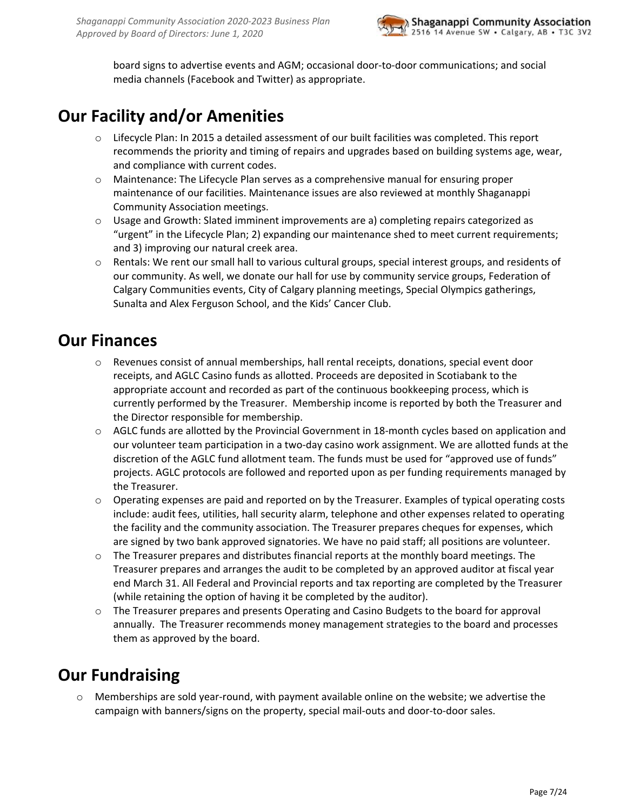

board signs to advertise events and AGM; occasional door-to-door communications; and social media channels (Facebook and Twitter) as appropriate.

# <span id="page-6-0"></span>**Our Facility and/or Amenities**

- o Lifecycle Plan: In 2015 a detailed assessment of our built facilities was completed. This report recommends the priority and timing of repairs and upgrades based on building systems age, wear, and compliance with current codes.
- o Maintenance: The Lifecycle Plan serves as a comprehensive manual for ensuring proper maintenance of our facilities. Maintenance issues are also reviewed at monthly Shaganappi Community Association meetings.
- $\circ$  Usage and Growth: Slated imminent improvements are a) completing repairs categorized as "urgent" in the Lifecycle Plan; 2) expanding our maintenance shed to meet current requirements; and 3) improving our natural creek area.
- o Rentals: We rent our small hall to various cultural groups, special interest groups, and residents of our community. As well, we donate our hall for use by community service groups, Federation of Calgary Communities events, City of Calgary planning meetings, Special Olympics gatherings, Sunalta and Alex Ferguson School, and the Kids' Cancer Club.

### <span id="page-6-1"></span>**Our Finances**

- $\circ$  Revenues consist of annual memberships, hall rental receipts, donations, special event door receipts, and AGLC Casino funds as allotted. Proceeds are deposited in Scotiabank to the appropriate account and recorded as part of the continuous bookkeeping process, which is currently performed by the Treasurer. Membership income is reported by both the Treasurer and the Director responsible for membership.
- o AGLC funds are allotted by the Provincial Government in 18-month cycles based on application and our volunteer team participation in a two-day casino work assignment. We are allotted funds at the discretion of the AGLC fund allotment team. The funds must be used for "approved use of funds" projects. AGLC protocols are followed and reported upon as per funding requirements managed by the Treasurer.
- o Operating expenses are paid and reported on by the Treasurer. Examples of typical operating costs include: audit fees, utilities, hall security alarm, telephone and other expenses related to operating the facility and the community association. The Treasurer prepares cheques for expenses, which are signed by two bank approved signatories. We have no paid staff; all positions are volunteer.
- $\circ$  The Treasurer prepares and distributes financial reports at the monthly board meetings. The Treasurer prepares and arranges the audit to be completed by an approved auditor at fiscal year end March 31. All Federal and Provincial reports and tax reporting are completed by the Treasurer (while retaining the option of having it be completed by the auditor).
- o The Treasurer prepares and presents Operating and Casino Budgets to the board for approval annually. The Treasurer recommends money management strategies to the board and processes them as approved by the board.

# <span id="page-6-2"></span>**Our Fundraising**

o Memberships are sold year-round, with payment available online on the website; we advertise the campaign with banners/signs on the property, special mail-outs and door-to-door sales.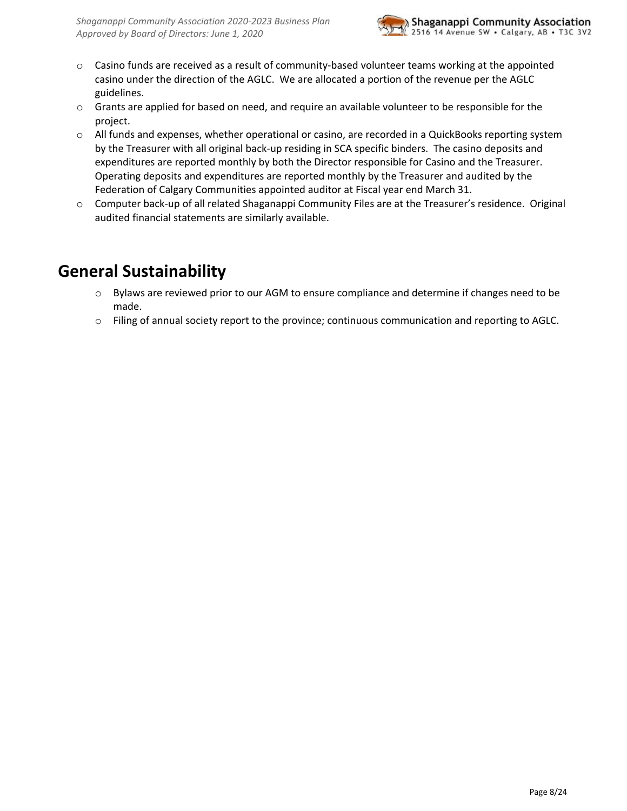

- o Casino funds are received as a result of community-based volunteer teams working at the appointed casino under the direction of the AGLC. We are allocated a portion of the revenue per the AGLC guidelines.
- o Grants are applied for based on need, and require an available volunteer to be responsible for the project.
- o All funds and expenses, whether operational or casino, are recorded in a QuickBooks reporting system by the Treasurer with all original back-up residing in SCA specific binders. The casino deposits and expenditures are reported monthly by both the Director responsible for Casino and the Treasurer. Operating deposits and expenditures are reported monthly by the Treasurer and audited by the Federation of Calgary Communities appointed auditor at Fiscal year end March 31.
- o Computer back-up of all related Shaganappi Community Files are at the Treasurer's residence. Original audited financial statements are similarly available.

# <span id="page-7-0"></span>**General Sustainability**

- o Bylaws are reviewed prior to our AGM to ensure compliance and determine if changes need to be made.
- o Filing of annual society report to the province; continuous communication and reporting to AGLC.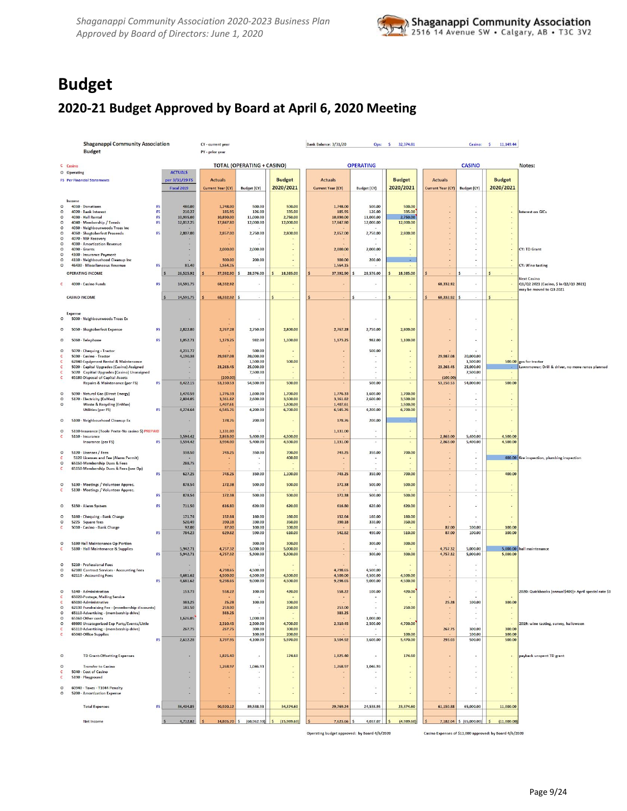

# <span id="page-8-0"></span>**Budget**

### **2020-21 Budget Approved by Board at April 6, 2020 Meeting**

|                       | <b>Shaganappi Community Association</b>                                           |                 |                      | CY - current year     |                                   |                           | <b>Bank Balance: 3/31/20</b> | Ops:                     | S.<br>32,374.81          |                       | Casino:                            | $\sim$<br>11,149.44      |                                                                            |
|-----------------------|-----------------------------------------------------------------------------------|-----------------|----------------------|-----------------------|-----------------------------------|---------------------------|------------------------------|--------------------------|--------------------------|-----------------------|------------------------------------|--------------------------|----------------------------------------------------------------------------|
|                       | <b>Budget</b>                                                                     |                 |                      | PY - prior year       |                                   |                           |                              |                          |                          |                       |                                    |                          |                                                                            |
|                       | C Casino                                                                          |                 |                      |                       | <b>TOTAL (OPERATING + CASINO)</b> |                           |                              | <b>OPERATING</b>         |                          |                       | <b>CASINO</b>                      |                          | Notes:                                                                     |
|                       | O Operating                                                                       |                 | <b>ACTUALS</b>       |                       |                                   |                           |                              |                          |                          |                       |                                    |                          |                                                                            |
|                       | <b>FS</b> Per Financial Statements                                                |                 | per 3/31/19 FS       | <b>Actuals</b>        |                                   | <b>Budget</b>             | <b>Actuals</b>               |                          | <b>Budget</b>            | <b>Actuals</b>        |                                    | <b>Budget</b>            |                                                                            |
|                       |                                                                                   |                 | Fiscal 2019          | Current Year (CY)     | Budget (CY)                       | 2020/2021                 | Current Year (CY)            | <b>Budget (CY)</b>       | 2020/2021                | Current Year (CY)     | <b>Budget (CY)</b>                 | 2020/2021                |                                                                            |
|                       | Income                                                                            |                 |                      |                       |                                   |                           |                              |                          |                          |                       |                                    |                          |                                                                            |
|                       | 4010 - Donations                                                                  | FS              | 480.00               | 1,748.00              | 500.00                            | 500.00                    | 1,748.00                     | 500.00                   | 500.00                   |                       |                                    |                          |                                                                            |
| $\circ$<br>$\circ$    | 4020 · Bank Interest<br>4030 - Hall Rental                                        | FS<br><b>FS</b> | 210.27<br>10,935.00  | 185.95<br>10,890.00   | 126.00<br>11,000.00               | 335.00<br>2,750.00        | 185.95<br>10,890.00          | 126.00<br>11,000.00      | 335.00<br>2,750.00       |                       |                                    |                          | Interest on GICs                                                           |
| $\circ$               | 4040 - Membership / Tennis                                                        | <b>FS</b>       | 12,012.25            | 17,847.80             | 12,000.00                         | 12,000.00                 | 17,847.80                    | 12,000.00                | 12,000.00                |                       | ÷                                  |                          |                                                                            |
| $\circ$<br>$\Omega$   | 4050 - Neighbourwoods Trees Inc<br>4060 - Shagtoberfest Proceeds                  | <b>FS</b>       | 2,807.00             | 2,857.00              | 2,750.00                          | 2,800.00                  | 2,857.00                     | 2,750.00                 | 2,800.00                 |                       | $\sim$<br>$\sim$                   |                          |                                                                            |
| $\circ$               | 4070 - NSF Recovery                                                               |                 |                      |                       |                                   |                           |                              |                          |                          |                       |                                    |                          |                                                                            |
| $\circ$<br>$\circ$    | 4080 - Amortization Revenue<br>$4090 \cdot$ Grants                                |                 |                      | 2,000.00              | 2,000.00                          |                           | 2,000.00                     | 2,000.00                 |                          |                       | $\cdot$                            |                          | CY: TD Grant                                                               |
| $\Omega$              | 4100 - Insurance Payment                                                          |                 |                      |                       |                                   |                           |                              |                          |                          |                       | $\sim$                             |                          |                                                                            |
| $\Omega$              | 4110 - Neighbourhood Cleanup Inc<br>46430 - Miscellaneous Revenue                 | <b>FS</b>       | 81.40                | 300.00<br>1,564.15    | 200.00                            |                           | 300.00<br>1,564.15           | 200.00                   | $\sim$                   |                       |                                    |                          | <b>CY: Wine tasting</b>                                                    |
|                       | <b>OPERATING INCOME</b>                                                           |                 | 26,525.92            | 37,392.90 \$          | 28,576.00                         | 18,385.00<br>$\mathsf{s}$ | 37,392.90                    | 28,576.00<br>S           | 18,385.00<br>\$          |                       | s<br>$\overline{\phantom{a}}$      | $\vert$ s                |                                                                            |
|                       |                                                                                   |                 |                      |                       |                                   |                           |                              |                          |                          |                       |                                    |                          | <b>Next Casino</b>                                                         |
|                       | 4000 - Casino Funds                                                               | FS              | 14,591.75            | 68,332.92             |                                   |                           |                              |                          |                          | 68,332.92             |                                    |                          | Q1/Q2 2021 (Casino, \$ in Q2/Q3 2021)<br>may be moved to Q3 2021           |
|                       | <b>CASINO INCOME</b>                                                              |                 | 14,591.75            | 68,332.92             | s                                 |                           |                              | S<br>$\sim$              |                          | 68,332.92 \$          | $\sim$                             | l s                      |                                                                            |
|                       |                                                                                   |                 |                      |                       |                                   |                           |                              |                          |                          |                       |                                    |                          |                                                                            |
|                       | Expense                                                                           |                 |                      |                       |                                   |                           |                              |                          |                          |                       |                                    |                          |                                                                            |
| $\circ$               | 5000 - Neighbourwoods Trees Ex                                                    |                 |                      |                       |                                   |                           |                              | ×,                       |                          |                       |                                    |                          |                                                                            |
| $\circ$               | 5050 - Shagtoberfest Expense                                                      | <b>FS</b>       | 2,822.80             | 2,767.28              | 2,750.00                          | 2,800.00                  | 2,767.28                     | 2,750.00                 | 2,800.00                 |                       |                                    |                          |                                                                            |
|                       |                                                                                   |                 |                      |                       |                                   |                           |                              |                          |                          |                       |                                    |                          |                                                                            |
| $\circ$               | 5060 · Telephone                                                                  | FS              | 1,052.71             | 1,173.25              | 982.00                            | 1,100.00                  | 1,173.25                     | 982.00                   | 1,100.00                 |                       |                                    |                          |                                                                            |
| $\circ$               | 5070 - Chequing - Tractor                                                         |                 | 4,231.77             |                       | 500.00                            |                           |                              | 500.00                   |                          |                       |                                    |                          |                                                                            |
|                       | 5030 - Casino - Tractor                                                           |                 | 4,190.38             | 29,987.08             | 20,000.00                         |                           |                              |                          |                          | 29,987.08             | 20,000.00                          |                          |                                                                            |
|                       | 62840-Equipment Rental & Maintenance<br>5020 - Capital Upgrades (Casino) Assigned |                 |                      | 23,263.45             | 1,500.00<br>25,000.00             | 500.00                    |                              | $\sim$                   | ×                        | 23,263.45             | 1,500.00<br>25,000.00              | $\sim$                   | 500.00 gas for tractor<br>Lawnmower; Drill & driver, no more renos planned |
|                       | 5020 Capitial Upgrades (Casino) Unassigned                                        |                 |                      |                       | 7,500.00                          |                           |                              | $\epsilon$               |                          |                       | 7,500.00                           |                          |                                                                            |
| c                     | 65180-Disposal of Capital Assets<br>Repairs & Maintenance (per FS)                | FS              | 8,422.15             | (100.00)<br>53,150.53 | 54,500.00                         | 500.00                    |                              | 500.00                   |                          | (100.00)<br>53,150.53 | 54,000.00                          | 500.00                   |                                                                            |
|                       |                                                                                   |                 |                      |                       |                                   |                           |                              |                          |                          |                       |                                    |                          |                                                                            |
| $\circ$<br>$\circ$    | 5090 - Natural Gas (Direct Energy)<br>5170 - Electricity (EnMax)                  |                 | 1,470.59<br>2,804.05 | 1,776.33<br>3.361.82  | 1,600.00<br>2,600.00              | 1,700.00<br>3,500.00      | 1,776.33<br>3,361.82         | 1,600.00<br>2,600.00     | 1,700.00<br>3.500.00     |                       |                                    | $\overline{\phantom{a}}$ |                                                                            |
| $\circ$               | Waste & Recycling (EnMax)                                                         |                 |                      | 1,407.61              |                                   | 1,500.00                  | 1,407.61                     |                          | 1,500.00                 |                       |                                    |                          |                                                                            |
|                       | <b>Utilities (per FS)</b>                                                         | <b>FS</b>       | 4,274.64             | 6,545.76              | 4,200.00                          | 6,700.00                  | 6,545.76                     | 4,200.00                 | 6,700.00                 |                       | $\sim$                             | ٠                        |                                                                            |
| $\circ$               | 5100 - Neighbourhood Cleanup Ex                                                   |                 |                      | 178.76                | 200.00                            |                           | 178.76                       | 200.00                   |                          |                       |                                    |                          |                                                                            |
| $\circ$               | 5110-Insurance (Toole Peete-No casino \$) PREPAID                                 |                 |                      | 1,131.00              |                                   |                           | 1,131.00                     | ٠                        |                          |                       |                                    |                          |                                                                            |
|                       | 5110 - Insurance                                                                  |                 | 3,594.42             | 2,863.00              | 5,400.00                          | 4,500.00                  |                              |                          |                          | 2,863.00              | 5,400.00                           | 4,500.00                 |                                                                            |
|                       | <b>Insurance (per FS)</b>                                                         | <b>FS</b>       | 3,594.42             | 3,994.00              | 5,400.00                          | 4,500.00                  | 1,131.00                     | $\lambda$                | $\overline{\phantom{a}}$ | 2,863.00              | 5,400.00                           | 4,500.00                 |                                                                            |
| $\circ$               | 5120 - Licenses / Fees                                                            |                 | 338.50               | 743.25                | 350.00                            | 700.00                    | 743.25                       | 350.00                   | 700.00                   |                       |                                    |                          |                                                                            |
| $\circ$               | 5120 Licenses and Fee (Alarm Permit)<br>65150-Membership Dues & Fees              |                 | 288.75               |                       | ×                                 | 400.00                    |                              | ٠                        | ÷                        |                       | $\overline{\phantom{a}}$<br>$\sim$ |                          | 400.00 fire inspection, plumbing inspection                                |
|                       | 65150-Membership Dues & Fees (see Op)                                             |                 |                      |                       |                                   |                           |                              |                          |                          |                       |                                    |                          |                                                                            |
|                       |                                                                                   | FS              | 627.25               | 743.25                | 350.00                            | 1,100.00                  | 743.25                       | 350.00                   | 700.00                   |                       | $\sim$                             | 400.00                   |                                                                            |
|                       | 5130 - Meetings / Volunteer Apprec.                                               |                 | 878.54               | 172.38                | 500.00                            | 500.00                    | 172.38                       | 500.00                   | 500.00                   |                       |                                    |                          |                                                                            |
|                       | 5130 - Meetings / Volunteer Apprec.                                               | FS              | 878.54               | 172.38                | 500.00                            | 500.00                    | 172.38                       | 500.00                   | 500.00                   |                       | ×<br>$\;$                          |                          |                                                                            |
|                       |                                                                                   |                 |                      |                       |                                   |                           |                              |                          |                          |                       |                                    |                          |                                                                            |
| $\circ$               | 5150 - Alarm System                                                               | FS              | 711.50               | 616.80                | 620.00                            | 620.00                    | 616.80                       | 620.00                   | 620.00                   |                       |                                    |                          |                                                                            |
| $\circ$               | 5160 - Chequing - Bank Charge                                                     |                 | 171.74               | 152.64                | 160.00                            | 160.00                    | 152.64                       | 160.00                   | 160.00                   |                       |                                    |                          |                                                                            |
| $\circ$               | 5225 Square fees<br>5010 - Casino - Bank Charge                                   |                 | 520.49<br>92.00      | 390.18<br>87.00       | 330.00<br>100.00                  | 350.00<br>100.00          | 390.18                       | 330.00                   | 350.00                   | 87.00                 | 100.00                             | 100.00                   |                                                                            |
|                       |                                                                                   | <b>FS</b>       | 784.23               | 629.82                | 590.00                            | 610.00                    | 542.82                       | 490.00                   | 510.00                   | 87.00                 | 100.00                             | 100.00                   |                                                                            |
| $\circ$               | 5180 Hall Maintenance Op Portion                                                  |                 |                      |                       | 300,00                            | 300,00                    |                              | 300.00                   | 300.00                   |                       |                                    |                          |                                                                            |
|                       | 5180 - Hall Maintenance & Supplies                                                |                 | 5,942.71             | 4,757.32              | 5,000.00                          | 5,000.00                  |                              |                          |                          | 4,757.32              | 5,000.00                           | 5,000.00                 | hall maintenance                                                           |
|                       |                                                                                   | FS              | 5,942.71             | 4,757.32              | 5,300.00                          | 5,300.00                  | $\overline{\phantom{a}}$     | 300.00                   | 300.00                   | 4,757.32              | 5,000.00                           | 5,000.00                 |                                                                            |
| $\circ$               | 5210 - Professional Fees                                                          |                 |                      |                       |                                   |                           |                              |                          |                          |                       |                                    |                          |                                                                            |
| $\circ$               | 62100 Contract Services - Accounting Fees<br>62110 - Accounting Fees              |                 | 4,681.62             | 4,798.65<br>4,500.00  | 4,500.00<br>4,500.00              | 4,500.00                  | 4,798.65<br>4,500.00         | 4,500.00<br>4,500.00     | 4,500.00                 |                       | ×,                                 |                          |                                                                            |
|                       |                                                                                   | <b>FS</b>       | 4,681.62             | 9,298.65              | 9,000.00                          | 4,500.00                  | 9,298.65                     | 9,000.00                 | 4,500.00                 |                       | $\cdot$                            |                          |                                                                            |
| $\circ$               | 5140 - Administration                                                             |                 | 153.73               | 558.22                | 100.00                            | 420.00                    | 558.22                       | 100.00                   | 420.00                   |                       |                                    |                          | 2020: Quickbooks (annual\$400)+ April special rate \$                      |
|                       | 65020-Postage, Mailing Service                                                    |                 |                      |                       |                                   |                           |                              |                          |                          |                       |                                    |                          |                                                                            |
| $\epsilon$<br>$\circ$ | 65030-Administrative<br>62130 Fundraising Fee - (membership discounts)            |                 | 383.25<br>181.50     | 25.28<br>253.00       | 100.00                            | 100.00<br>250.00          | 253.00                       | $\sim$                   | 250.00                   | 25.28                 | 100.00                             | 100.00                   |                                                                            |
| $\circ$               | 65110-Advertising - (membership drive)                                            |                 |                      | 383.25                |                                   |                           | 383.25                       | я.                       |                          |                       | ÷                                  |                          |                                                                            |
| $\circ$<br>$\circ$    | 65160-Other costs<br>69800 Uncategorized Exp Party/Events/Little                  |                 | 1,626.05             | 2,310.45              | 1,000.00<br>2,500,00              | 4.700.00                  | 2,310.45                     | 1,000.00<br>2,500.00     | 4,700.00                 |                       | $\sim$                             |                          | 2019: wine tasting, survey, halloween                                      |
| $\epsilon$            | 65110-Advertising - (membership drive)                                            |                 | 267.75               | 267.75                | 300.00                            | 300.00                    |                              |                          |                          | 267.75                | 300.00                             | 300.00                   |                                                                            |
| $\mathbf{C}$          | 65040-Office Supplies                                                             | <b>FS</b>       | 2,612.28             | 3,797.95              | 100.00<br>4,100.00                | 200.00<br>5,970.00        | 3,504.92                     | 3,600.00                 | 100.00<br>5,470.00       | 293.03                | 100.00<br>500.00                   | 100.00<br>500.00         |                                                                            |
|                       |                                                                                   |                 |                      |                       |                                   |                           |                              |                          |                          |                       |                                    |                          |                                                                            |
| $\circ$               | <b>TD Grant-Offsetting Expenses</b>                                               |                 | $\sim$               | 1.825.40              | ٠                                 | 174.60                    | 1,825.40                     | ×.                       | 174.60                   |                       |                                    | $\overline{\phantom{a}}$ | payback unspent TD grant                                                   |
|                       |                                                                                   |                 |                      |                       |                                   |                           |                              |                          |                          |                       |                                    |                          |                                                                            |
| $\circ$               | <b>Transfer to Casino</b><br>5040 - Cost of Casino                                |                 |                      | 1,268.97              | 1,046.93                          |                           | 1,268.97                     | 1,046.93                 |                          |                       | $\ddot{\phantom{a}}$               |                          |                                                                            |
| C                     | 5190 - Playground                                                                 |                 | ×                    |                       | ×                                 | $\sim$                    |                              | ٠                        | $\omega$                 |                       | $\omega$                           | $\overline{\phantom{a}}$ |                                                                            |
| $\circ$               | 60940 - Taxes - T1044 Penalty                                                     |                 |                      |                       |                                   |                           |                              | $\overline{\phantom{a}}$ |                          |                       |                                    |                          |                                                                            |
| $\circ$               | 5200 - Amortization Expense                                                       |                 |                      |                       |                                   |                           |                              | ÷                        |                          |                       |                                    |                          |                                                                            |
|                       |                                                                                   | <b>FS</b>       | 36,404.85            |                       |                                   | 34,374.60                 |                              |                          | 23,374.60                | 61,150.88             |                                    | 11,000.00                |                                                                            |
|                       | <b>Total Expenses</b>                                                             |                 |                      | 90,920.12             | 89,538.93                         |                           | 29,769.24                    | 24,538.93                |                          |                       | 65,000.00                          |                          |                                                                            |
|                       | Net Income                                                                        |                 | 4,712.82             | 14,805.70 \$          | (60, 962.93)                      | (15,989.60)<br>l s        | 7,623.66 \$                  | 4,037.07                 | (4,989.60)               |                       | 7,182.04 \$ (65,000.00)            | $\vert$ s<br>(11,000.00) |                                                                            |
|                       |                                                                                   |                 |                      |                       |                                   |                           |                              |                          |                          |                       |                                    |                          |                                                                            |

Operating budget approved: by Board 4/6/2020

Casino Expenses of \$11,000 approved: by Board 4/6/2020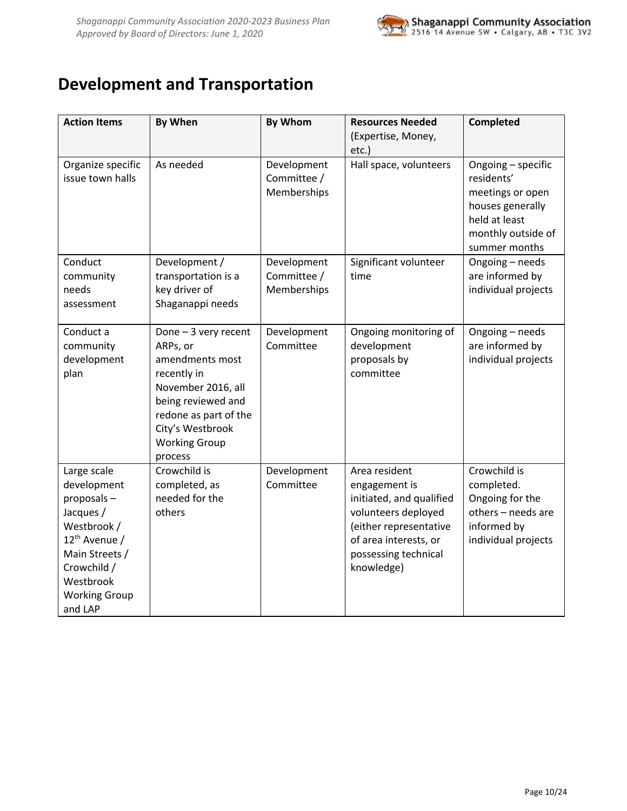

# <span id="page-9-0"></span>**Development and Transportation**

| <b>Action Items</b>                                                                                                                                                                | <b>By When</b>                                                                                                                                                                                  | By Whom                                   | <b>Resources Needed</b><br>(Expertise, Money,                                                                                                                              | Completed                                                                                                                        |
|------------------------------------------------------------------------------------------------------------------------------------------------------------------------------------|-------------------------------------------------------------------------------------------------------------------------------------------------------------------------------------------------|-------------------------------------------|----------------------------------------------------------------------------------------------------------------------------------------------------------------------------|----------------------------------------------------------------------------------------------------------------------------------|
|                                                                                                                                                                                    |                                                                                                                                                                                                 |                                           | etc.)                                                                                                                                                                      |                                                                                                                                  |
| Organize specific<br>issue town halls                                                                                                                                              | As needed                                                                                                                                                                                       | Development<br>Committee /<br>Memberships | Hall space, volunteers                                                                                                                                                     | Ongoing - specific<br>residents'<br>meetings or open<br>houses generally<br>held at least<br>monthly outside of<br>summer months |
| Conduct<br>community<br>needs<br>assessment                                                                                                                                        | Development /<br>transportation is a<br>key driver of<br>Shaganappi needs                                                                                                                       | Development<br>Committee /<br>Memberships | Significant volunteer<br>time                                                                                                                                              | Ongoing - needs<br>are informed by<br>individual projects                                                                        |
| Conduct a<br>community<br>development<br>plan                                                                                                                                      | Done $-3$ very recent<br>ARPs, or<br>amendments most<br>recently in<br>November 2016, all<br>being reviewed and<br>redone as part of the<br>City's Westbrook<br><b>Working Group</b><br>process | Development<br>Committee                  | Ongoing monitoring of<br>development<br>proposals by<br>committee                                                                                                          | Ongoing - needs<br>are informed by<br>individual projects                                                                        |
| Large scale<br>development<br>proposals-<br>Jacques /<br>Westbrook /<br>12 <sup>th</sup> Avenue /<br>Main Streets /<br>Crowchild /<br>Westbrook<br><b>Working Group</b><br>and LAP | Crowchild is<br>completed, as<br>needed for the<br>others                                                                                                                                       | Development<br>Committee                  | Area resident<br>engagement is<br>initiated, and qualified<br>volunteers deployed<br>(either representative<br>of area interests, or<br>possessing technical<br>knowledge) | Crowchild is<br>completed.<br>Ongoing for the<br>others - needs are<br>informed by<br>individual projects                        |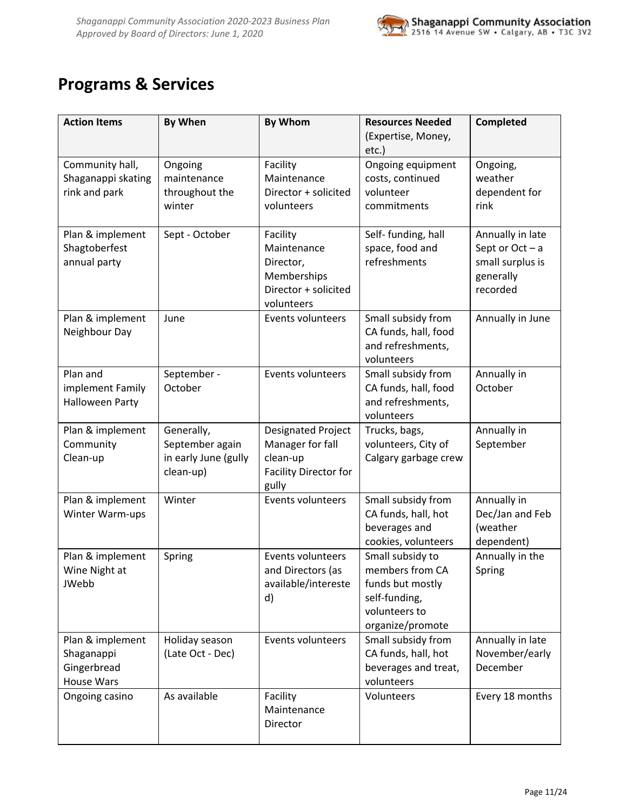

# <span id="page-10-0"></span>**Programs & Services**

| <b>Action Items</b>                                                | <b>By When</b>                                                     | By Whom                                                                                     | <b>Resources Needed</b><br>(Expertise, Money,<br>etc.)                                                        | Completed                                                                        |
|--------------------------------------------------------------------|--------------------------------------------------------------------|---------------------------------------------------------------------------------------------|---------------------------------------------------------------------------------------------------------------|----------------------------------------------------------------------------------|
| Community hall,<br>Shaganappi skating<br>rink and park             | Ongoing<br>maintenance<br>throughout the<br>winter                 | Facility<br>Maintenance<br>Director + solicited<br>volunteers                               | Ongoing equipment<br>costs, continued<br>volunteer<br>commitments                                             | Ongoing,<br>weather<br>dependent for<br>rink                                     |
| Plan & implement<br>Shagtoberfest<br>annual party                  | Sept - October                                                     | Facility<br>Maintenance<br>Director,<br>Memberships<br>Director + solicited<br>volunteers   | Self- funding, hall<br>space, food and<br>refreshments                                                        | Annually in late<br>Sept or Oct - a<br>small surplus is<br>generally<br>recorded |
| Plan & implement<br>Neighbour Day                                  | June                                                               | Events volunteers                                                                           | Small subsidy from<br>CA funds, hall, food<br>and refreshments,<br>volunteers                                 | Annually in June                                                                 |
| Plan and<br>implement Family<br><b>Halloween Party</b>             | September -<br>October                                             | Events volunteers                                                                           | Small subsidy from<br>CA funds, hall, food<br>and refreshments,<br>volunteers                                 | Annually in<br>October                                                           |
| Plan & implement<br>Community<br>Clean-up                          | Generally,<br>September again<br>in early June (gully<br>clean-up) | Designated Project<br>Manager for fall<br>clean-up<br><b>Facility Director for</b><br>gully | Trucks, bags,<br>volunteers, City of<br>Calgary garbage crew                                                  | Annually in<br>September                                                         |
| Plan & implement<br>Winter Warm-ups                                | Winter                                                             | Events volunteers                                                                           | Small subsidy from<br>CA funds, hall, hot<br>beverages and<br>cookies, volunteers                             | Annually in<br>Dec/Jan and Feb<br>(weather<br>dependent)                         |
| Plan & implement<br>Wine Night at<br><b>JWebb</b>                  | Spring                                                             | Events volunteers<br>and Directors (as<br>available/intereste<br>d)                         | Small subsidy to<br>members from CA<br>funds but mostly<br>self-funding,<br>volunteers to<br>organize/promote | Annually in the<br>Spring                                                        |
| Plan & implement<br>Shaganappi<br>Gingerbread<br><b>House Wars</b> | Holiday season<br>(Late Oct - Dec)                                 | <b>Events volunteers</b>                                                                    | Small subsidy from<br>CA funds, hall, hot<br>beverages and treat,<br>volunteers                               | Annually in late<br>November/early<br>December                                   |
| Ongoing casino                                                     | As available                                                       | Facility<br>Maintenance<br>Director                                                         | Volunteers                                                                                                    | Every 18 months                                                                  |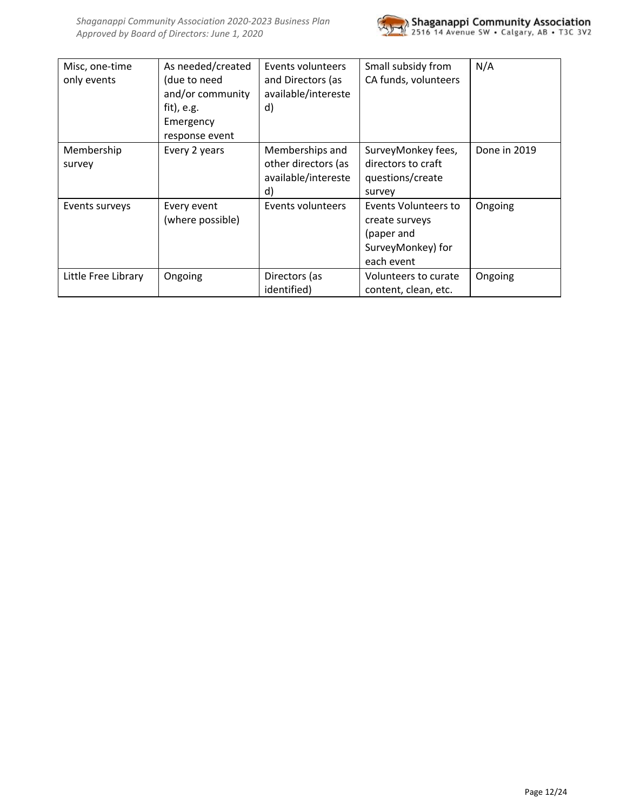

| Misc, one-time<br>only events | As needed/created<br>(due to need<br>and/or community<br>$fit)$ , e.g.<br>Emergency<br>response event | Events volunteers<br>and Directors (as<br>available/intereste<br>d) | Small subsidy from<br>CA funds, volunteers                                              | N/A          |
|-------------------------------|-------------------------------------------------------------------------------------------------------|---------------------------------------------------------------------|-----------------------------------------------------------------------------------------|--------------|
| Membership<br>survey          | Every 2 years                                                                                         | Memberships and<br>other directors (as<br>available/intereste<br>d) | SurveyMonkey fees,<br>directors to craft<br>questions/create<br>survey                  | Done in 2019 |
| Events surveys                | Every event<br>(where possible)                                                                       | Events volunteers                                                   | Events Volunteers to<br>create surveys<br>(paper and<br>SurveyMonkey) for<br>each event | Ongoing      |
| Little Free Library           | Ongoing                                                                                               | Directors (as<br>identified)                                        | Volunteers to curate<br>content, clean, etc.                                            | Ongoing      |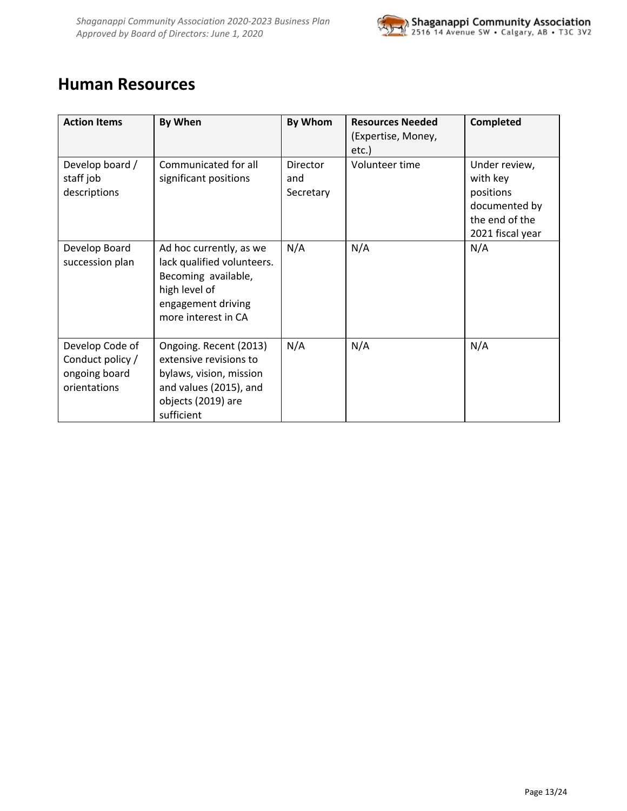

### <span id="page-12-0"></span>**Human Resources**

| <b>Action Items</b>                                                  | By When                                                                                                                                    | By Whom                      | <b>Resources Needed</b><br>(Expertise, Money,<br>etc.) | Completed                                                                                     |
|----------------------------------------------------------------------|--------------------------------------------------------------------------------------------------------------------------------------------|------------------------------|--------------------------------------------------------|-----------------------------------------------------------------------------------------------|
| Develop board /<br>staff job<br>descriptions                         | Communicated for all<br>significant positions                                                                                              | Director<br>and<br>Secretary | Volunteer time                                         | Under review,<br>with key<br>positions<br>documented by<br>the end of the<br>2021 fiscal year |
| Develop Board<br>succession plan                                     | Ad hoc currently, as we<br>lack qualified volunteers.<br>Becoming available,<br>high level of<br>engagement driving<br>more interest in CA | N/A                          | N/A                                                    | N/A                                                                                           |
| Develop Code of<br>Conduct policy /<br>ongoing board<br>orientations | Ongoing. Recent (2013)<br>extensive revisions to<br>bylaws, vision, mission<br>and values (2015), and<br>objects (2019) are<br>sufficient  | N/A                          | N/A                                                    | N/A                                                                                           |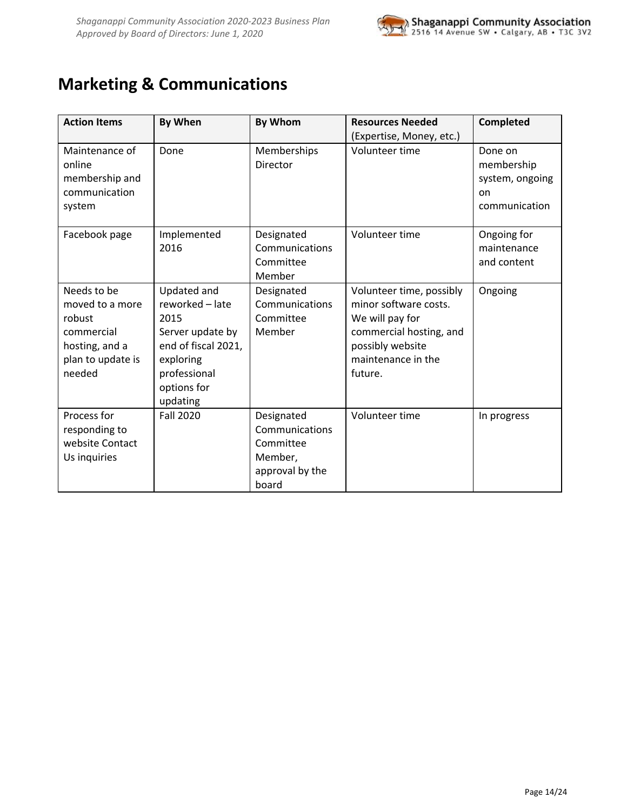

# <span id="page-13-0"></span>**Marketing & Communications**

| <b>Action Items</b>                                                                                     | <b>By When</b>                                                                                                                            | <b>By Whom</b>                                                                   | <b>Resources Needed</b><br>(Expertise, Money, etc.)                                                                                                  | <b>Completed</b>                                                |
|---------------------------------------------------------------------------------------------------------|-------------------------------------------------------------------------------------------------------------------------------------------|----------------------------------------------------------------------------------|------------------------------------------------------------------------------------------------------------------------------------------------------|-----------------------------------------------------------------|
| Maintenance of<br>online<br>membership and<br>communication<br>system                                   | Done                                                                                                                                      | Memberships<br><b>Director</b>                                                   | Volunteer time                                                                                                                                       | Done on<br>membership<br>system, ongoing<br>on<br>communication |
| Facebook page                                                                                           | Implemented<br>2016                                                                                                                       | Designated<br>Communications<br>Committee<br>Member                              | Volunteer time                                                                                                                                       | Ongoing for<br>maintenance<br>and content                       |
| Needs to be<br>moved to a more<br>robust<br>commercial<br>hosting, and a<br>plan to update is<br>needed | Updated and<br>reworked - late<br>2015<br>Server update by<br>end of fiscal 2021,<br>exploring<br>professional<br>options for<br>updating | Designated<br>Communications<br>Committee<br>Member                              | Volunteer time, possibly<br>minor software costs.<br>We will pay for<br>commercial hosting, and<br>possibly website<br>maintenance in the<br>future. | Ongoing                                                         |
| Process for<br>responding to<br>website Contact<br>Us inquiries                                         | <b>Fall 2020</b>                                                                                                                          | Designated<br>Communications<br>Committee<br>Member,<br>approval by the<br>board | Volunteer time                                                                                                                                       | In progress                                                     |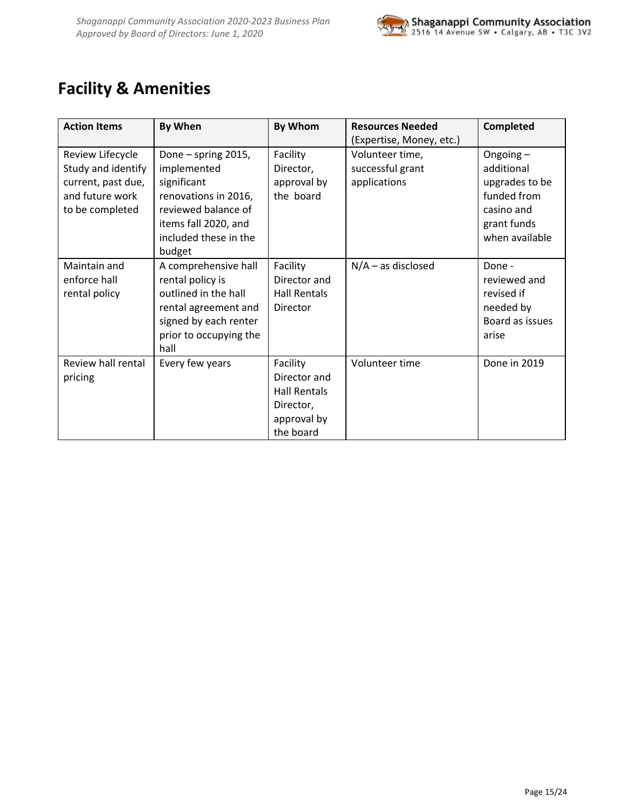

# <span id="page-14-0"></span>**Facility & Amenities**

| <b>Action Items</b>                                                                                | By When                                                                                                                                                     | By Whom                                                                           | <b>Resources Needed</b><br>(Expertise, Money, etc.) | Completed                                                                                              |
|----------------------------------------------------------------------------------------------------|-------------------------------------------------------------------------------------------------------------------------------------------------------------|-----------------------------------------------------------------------------------|-----------------------------------------------------|--------------------------------------------------------------------------------------------------------|
| Review Lifecycle<br>Study and identify<br>current, past due,<br>and future work<br>to be completed | Done - spring 2015,<br>implemented<br>significant<br>renovations in 2016,<br>reviewed balance of<br>items fall 2020, and<br>included these in the<br>budget | Facility<br>Director,<br>approval by<br>the board                                 | Volunteer time,<br>successful grant<br>applications | Ongoing-<br>additional<br>upgrades to be<br>funded from<br>casino and<br>grant funds<br>when available |
| Maintain and<br>enforce hall<br>rental policy                                                      | A comprehensive hall<br>rental policy is<br>outlined in the hall<br>rental agreement and<br>signed by each renter<br>prior to occupying the<br>hall         | Facility<br>Director and<br><b>Hall Rentals</b><br>Director                       | $N/A -$ as disclosed                                | Done -<br>reviewed and<br>revised if<br>needed by<br>Board as issues<br>arise                          |
| Review hall rental<br>pricing                                                                      | Every few years                                                                                                                                             | Facility<br>Director and<br>Hall Rentals<br>Director,<br>approval by<br>the board | Volunteer time                                      | Done in 2019                                                                                           |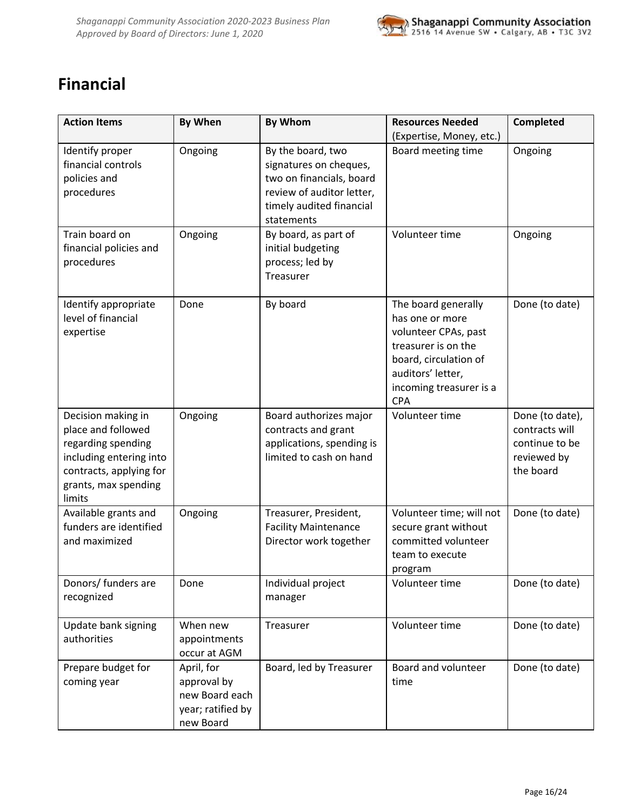

# <span id="page-15-0"></span>**Financial**

| <b>Action Items</b>                                                                                                                                    | <b>By When</b>                                                                | <b>By Whom</b>                                                                                                                                 | <b>Resources Needed</b><br>(Expertise, Money, etc.)                                                                                                                          | <b>Completed</b>                                                                |
|--------------------------------------------------------------------------------------------------------------------------------------------------------|-------------------------------------------------------------------------------|------------------------------------------------------------------------------------------------------------------------------------------------|------------------------------------------------------------------------------------------------------------------------------------------------------------------------------|---------------------------------------------------------------------------------|
| Identify proper<br>financial controls<br>policies and<br>procedures                                                                                    | Ongoing                                                                       | By the board, two<br>signatures on cheques,<br>two on financials, board<br>review of auditor letter,<br>timely audited financial<br>statements | Board meeting time                                                                                                                                                           | Ongoing                                                                         |
| Train board on<br>financial policies and<br>procedures                                                                                                 | Ongoing                                                                       | By board, as part of<br>initial budgeting<br>process; led by<br>Treasurer                                                                      | Volunteer time                                                                                                                                                               | Ongoing                                                                         |
| Identify appropriate<br>level of financial<br>expertise                                                                                                | Done                                                                          | By board                                                                                                                                       | The board generally<br>has one or more<br>volunteer CPAs, past<br>treasurer is on the<br>board, circulation of<br>auditors' letter,<br>incoming treasurer is a<br><b>CPA</b> | Done (to date)                                                                  |
| Decision making in<br>place and followed<br>regarding spending<br>including entering into<br>contracts, applying for<br>grants, max spending<br>limits | Ongoing                                                                       | Board authorizes major<br>contracts and grant<br>applications, spending is<br>limited to cash on hand                                          | Volunteer time                                                                                                                                                               | Done (to date),<br>contracts will<br>continue to be<br>reviewed by<br>the board |
| Available grants and<br>funders are identified<br>and maximized                                                                                        | Ongoing                                                                       | Treasurer, President,<br><b>Facility Maintenance</b><br>Director work together                                                                 | Volunteer time; will not<br>secure grant without<br>committed volunteer<br>team to execute<br>program                                                                        | Done (to date)                                                                  |
| Donors/ funders are<br>recognized                                                                                                                      | Done                                                                          | Individual project<br>manager                                                                                                                  | Volunteer time                                                                                                                                                               | Done (to date)                                                                  |
| Update bank signing<br>authorities                                                                                                                     | When new<br>appointments<br>occur at AGM                                      | Treasurer                                                                                                                                      | Volunteer time                                                                                                                                                               | Done (to date)                                                                  |
| Prepare budget for<br>coming year                                                                                                                      | April, for<br>approval by<br>new Board each<br>year; ratified by<br>new Board | Board, led by Treasurer                                                                                                                        | Board and volunteer<br>time                                                                                                                                                  | Done (to date)                                                                  |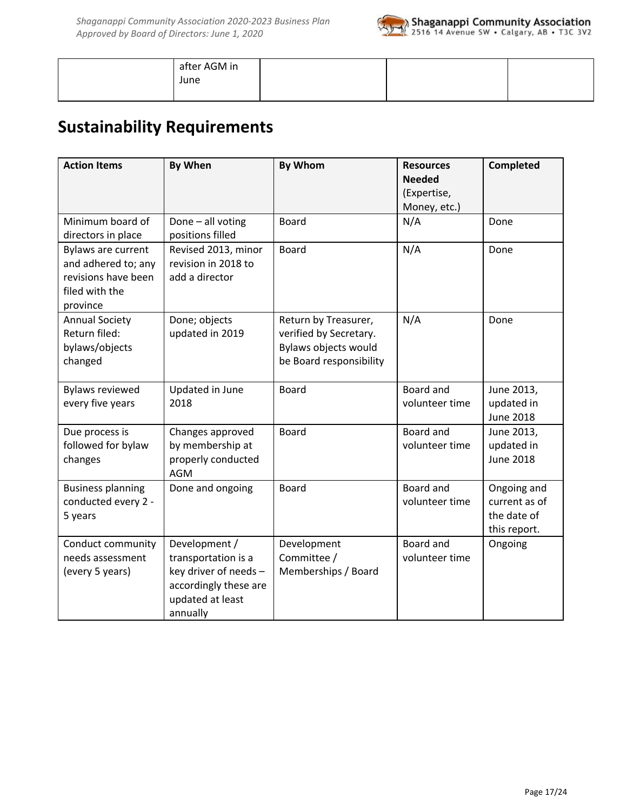

| after AGM in |  |  |
|--------------|--|--|
| June         |  |  |
|              |  |  |

# <span id="page-16-0"></span>**Sustainability Requirements**

| <b>Action Items</b>                                                                            | <b>By When</b>                                                                                                         | <b>By Whom</b>                                                                                    | <b>Resources</b><br><b>Needed</b><br>(Expertise,<br>Money, etc.) | Completed                                                   |
|------------------------------------------------------------------------------------------------|------------------------------------------------------------------------------------------------------------------------|---------------------------------------------------------------------------------------------------|------------------------------------------------------------------|-------------------------------------------------------------|
| Minimum board of<br>directors in place                                                         | Done - all voting<br>positions filled                                                                                  | <b>Board</b>                                                                                      | N/A                                                              | Done                                                        |
| Bylaws are current<br>and adhered to; any<br>revisions have been<br>filed with the<br>province | Revised 2013, minor<br>revision in 2018 to<br>add a director                                                           | <b>Board</b>                                                                                      | N/A                                                              | Done                                                        |
| <b>Annual Society</b><br>Return filed:<br>bylaws/objects<br>changed                            | Done; objects<br>updated in 2019                                                                                       | Return by Treasurer,<br>verified by Secretary.<br>Bylaws objects would<br>be Board responsibility | N/A                                                              | Done                                                        |
| <b>Bylaws reviewed</b><br>every five years                                                     | Updated in June<br>2018                                                                                                | <b>Board</b>                                                                                      | Board and<br>volunteer time                                      | June 2013,<br>updated in<br><b>June 2018</b>                |
| Due process is<br>followed for bylaw<br>changes                                                | Changes approved<br>by membership at<br>properly conducted<br><b>AGM</b>                                               | Board                                                                                             | Board and<br>volunteer time                                      | June 2013,<br>updated in<br><b>June 2018</b>                |
| <b>Business planning</b><br>conducted every 2 -<br>5 years                                     | Done and ongoing                                                                                                       | <b>Board</b>                                                                                      | Board and<br>volunteer time                                      | Ongoing and<br>current as of<br>the date of<br>this report. |
| Conduct community<br>needs assessment<br>(every 5 years)                                       | Development /<br>transportation is a<br>key driver of needs -<br>accordingly these are<br>updated at least<br>annually | Development<br>Committee /<br>Memberships / Board                                                 | Board and<br>volunteer time                                      | Ongoing                                                     |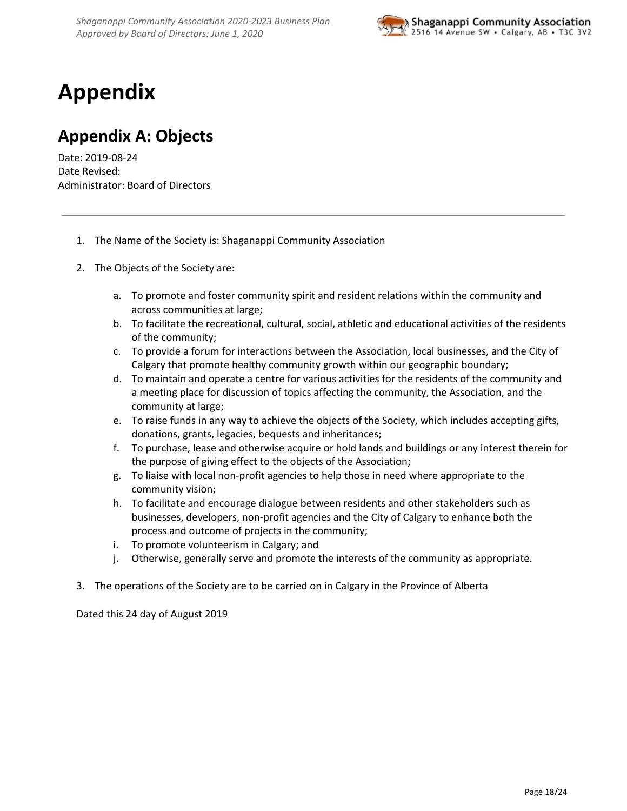

# <span id="page-17-0"></span>**Appendix**

# <span id="page-17-1"></span>**Appendix A: Objects**

Date: 2019-08-24 Date Revised: Administrator: Board of Directors

- 1. The Name of the Society is: Shaganappi Community Association
- 2. The Objects of the Society are:
	- a. To promote and foster community spirit and resident relations within the community and across communities at large;
	- b. To facilitate the recreational, cultural, social, athletic and educational activities of the residents of the community;
	- c. To provide a forum for interactions between the Association, local businesses, and the City of Calgary that promote healthy community growth within our geographic boundary;
	- d. To maintain and operate a centre for various activities for the residents of the community and a meeting place for discussion of topics affecting the community, the Association, and the community at large;
	- e. To raise funds in any way to achieve the objects of the Society, which includes accepting gifts, donations, grants, legacies, bequests and inheritances;
	- f. To purchase, lease and otherwise acquire or hold lands and buildings or any interest therein for the purpose of giving effect to the objects of the Association;
	- g. To liaise with local non-profit agencies to help those in need where appropriate to the community vision;
	- h. To facilitate and encourage dialogue between residents and other stakeholders such as businesses, developers, non-profit agencies and the City of Calgary to enhance both the process and outcome of projects in the community;
	- i. To promote volunteerism in Calgary; and
	- j. Otherwise, generally serve and promote the interests of the community as appropriate.
- 3. The operations of the Society are to be carried on in Calgary in the Province of Alberta

Dated this 24 day of August 2019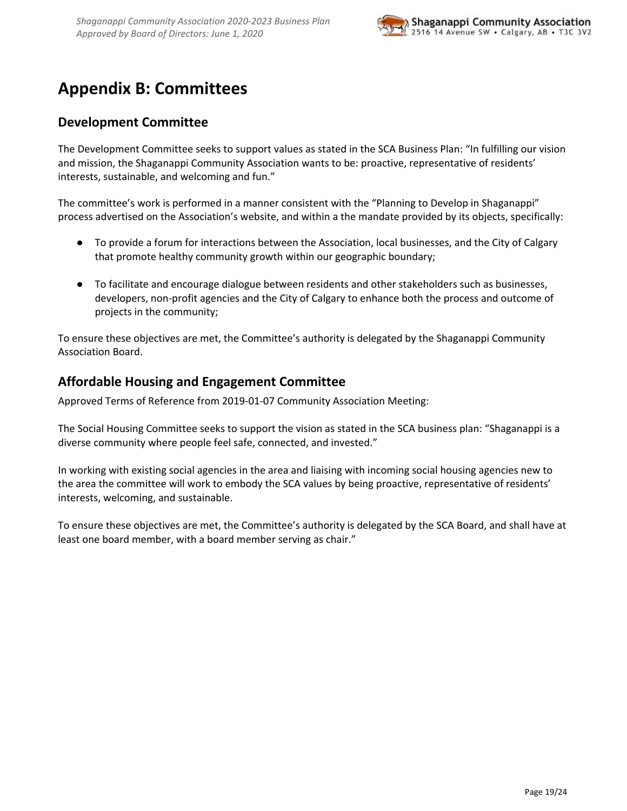

# <span id="page-18-0"></span>**Appendix B: Committees**

### <span id="page-18-1"></span>**Development Committee**

The Development Committee seeks to support values as stated in the SCA Business Plan: "In fulfilling our vision and mission, the Shaganappi Community Association wants to be: proactive, representative of residents' interests, sustainable, and welcoming and fun."

The committee's work is performed in a manner consistent with the "Planning to Develop in Shaganappi" process advertised on the Association's website, and within a the mandate provided by its objects, specifically:

- To provide a forum for interactions between the Association, local businesses, and the City of Calgary that promote healthy community growth within our geographic boundary;
- To facilitate and encourage dialogue between residents and other stakeholders such as businesses, developers, non-profit agencies and the City of Calgary to enhance both the process and outcome of projects in the community;

To ensure these objectives are met, the Committee's authority is delegated by the Shaganappi Community Association Board.

### <span id="page-18-2"></span>**Affordable Housing and Engagement Committee**

Approved Terms of Reference from 2019-01-07 Community Association Meeting:

The Social Housing Committee seeks to support the vision as stated in the SCA business plan: "Shaganappi is a diverse community where people feel safe, connected, and invested."

In working with existing social agencies in the area and liaising with incoming social housing agencies new to the area the committee will work to embody the SCA values by being proactive, representative of residents' interests, welcoming, and sustainable.

To ensure these objectives are met, the Committee's authority is delegated by the SCA Board, and shall have at least one board member, with a board member serving as chair."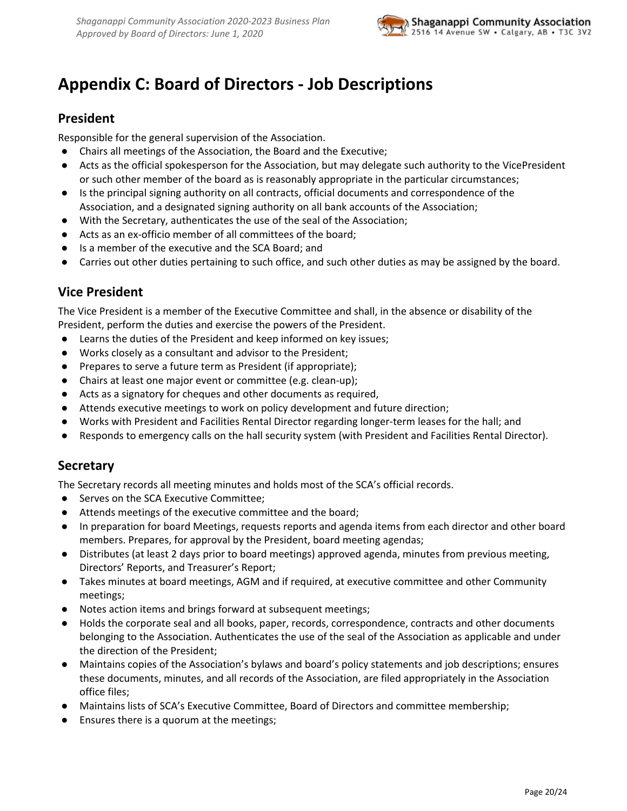

# <span id="page-19-0"></span>**Appendix C: Board of Directors - Job Descriptions**

### <span id="page-19-1"></span>**President**

Responsible for the general supervision of the Association.

- Chairs all meetings of the Association, the Board and the Executive;
- Acts as the official spokesperson for the Association, but may delegate such authority to the VicePresident or such other member of the board as is reasonably appropriate in the particular circumstances;
- Is the principal signing authority on all contracts, official documents and correspondence of the Association, and a designated signing authority on all bank accounts of the Association;
- With the Secretary, authenticates the use of the seal of the Association;
- Acts as an ex-officio member of all committees of the board;
- Is a member of the executive and the SCA Board; and
- <span id="page-19-2"></span>● Carries out other duties pertaining to such office, and such other duties as may be assigned by the board.

### **Vice President**

The Vice President is a member of the Executive Committee and shall, in the absence or disability of the President, perform the duties and exercise the powers of the President.

- Learns the duties of the President and keep informed on key issues;
- Works closely as a consultant and advisor to the President;
- Prepares to serve a future term as President (if appropriate);
- Chairs at least one major event or committee (e.g. clean-up);
- Acts as a signatory for cheques and other documents as required,
- Attends executive meetings to work on policy development and future direction;
- Works with President and Facilities Rental Director regarding longer-term leases for the hall; and
- <span id="page-19-3"></span>● Responds to emergency calls on the hall security system (with President and Facilities Rental Director).

### **Secretary**

The Secretary records all meeting minutes and holds most of the SCA's official records.

- Serves on the SCA Executive Committee;
- Attends meetings of the executive committee and the board;
- In preparation for board Meetings, requests reports and agenda items from each director and other board members. Prepares, for approval by the President, board meeting agendas;
- Distributes (at least 2 days prior to board meetings) approved agenda, minutes from previous meeting, Directors' Reports, and Treasurer's Report;
- Takes minutes at board meetings, AGM and if required, at executive committee and other Community meetings;
- Notes action items and brings forward at subsequent meetings;
- Holds the corporate seal and all books, paper, records, correspondence, contracts and other documents belonging to the Association. Authenticates the use of the seal of the Association as applicable and under the direction of the President;
- Maintains copies of the Association's bylaws and board's policy statements and job descriptions; ensures these documents, minutes, and all records of the Association, are filed appropriately in the Association office files;
- Maintains lists of SCA's Executive Committee, Board of Directors and committee membership;
- Ensures there is a quorum at the meetings;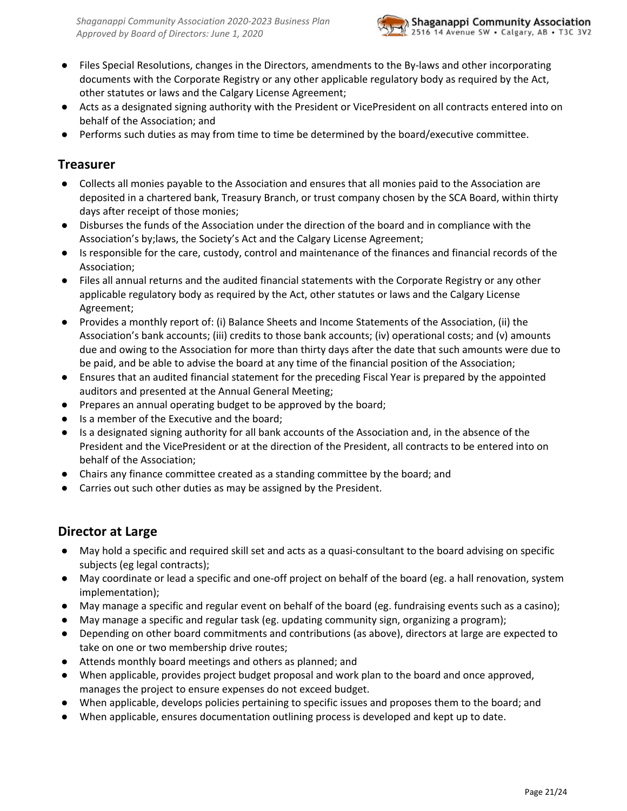- Files Special Resolutions, changes in the Directors, amendments to the By-laws and other incorporating documents with the Corporate Registry or any other applicable regulatory body as required by the Act, other statutes or laws and the Calgary License Agreement;
- Acts as a designated signing authority with the President or VicePresident on all contracts entered into on behalf of the Association; and
- <span id="page-20-0"></span>● Performs such duties as may from time to time be determined by the board/executive committee.

### **Treasurer**

- Collects all monies payable to the Association and ensures that all monies paid to the Association are deposited in a chartered bank, Treasury Branch, or trust company chosen by the SCA Board, within thirty days after receipt of those monies;
- Disburses the funds of the Association under the direction of the board and in compliance with the Association's by;laws, the Society's Act and the Calgary License Agreement;
- Is responsible for the care, custody, control and maintenance of the finances and financial records of the Association;
- Files all annual returns and the audited financial statements with the Corporate Registry or any other applicable regulatory body as required by the Act, other statutes or laws and the Calgary License Agreement;
- Provides a monthly report of: (i) Balance Sheets and Income Statements of the Association, (ii) the Association's bank accounts; (iii) credits to those bank accounts; (iv) operational costs; and (v) amounts due and owing to the Association for more than thirty days after the date that such amounts were due to be paid, and be able to advise the board at any time of the financial position of the Association;
- Ensures that an audited financial statement for the preceding Fiscal Year is prepared by the appointed auditors and presented at the Annual General Meeting;
- Prepares an annual operating budget to be approved by the board;
- Is a member of the Executive and the board;
- Is a designated signing authority for all bank accounts of the Association and, in the absence of the President and the VicePresident or at the direction of the President, all contracts to be entered into on behalf of the Association;
- Chairs any finance committee created as a standing committee by the board; and
- Carries out such other duties as may be assigned by the President.

### <span id="page-20-1"></span>**Director at Large**

- May hold a specific and required skill set and acts as a quasi-consultant to the board advising on specific subjects (eg legal contracts);
- May coordinate or lead a specific and one-off project on behalf of the board (eg. a hall renovation, system implementation);
- May manage a specific and regular event on behalf of the board (eg. fundraising events such as a casino);
- May manage a specific and regular task (eg. updating community sign, organizing a program);
- Depending on other board commitments and contributions (as above), directors at large are expected to take on one or two membership drive routes;
- Attends monthly board meetings and others as planned; and
- When applicable, provides project budget proposal and work plan to the board and once approved, manages the project to ensure expenses do not exceed budget.
- When applicable, develops policies pertaining to specific issues and proposes them to the board; and
- When applicable, ensures documentation outlining process is developed and kept up to date.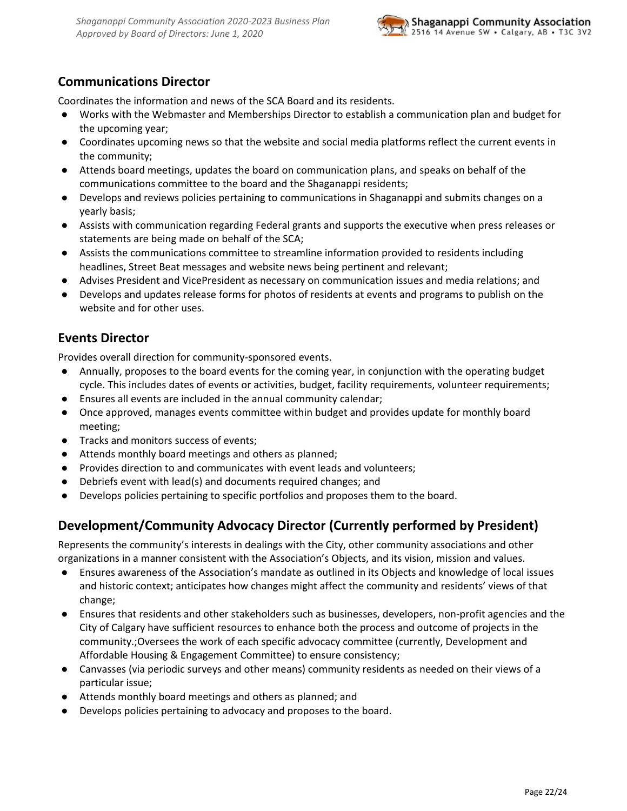

### <span id="page-21-0"></span>**Communications Director**

Coordinates the information and news of the SCA Board and its residents.

- Works with the Webmaster and Memberships Director to establish a communication plan and budget for the upcoming year;
- Coordinates upcoming news so that the website and social media platforms reflect the current events in the community;
- Attends board meetings, updates the board on communication plans, and speaks on behalf of the communications committee to the board and the Shaganappi residents;
- Develops and reviews policies pertaining to communications in Shaganappi and submits changes on a yearly basis;
- Assists with communication regarding Federal grants and supports the executive when press releases or statements are being made on behalf of the SCA;
- Assists the communications committee to streamline information provided to residents including headlines, Street Beat messages and website news being pertinent and relevant;
- Advises President and VicePresident as necessary on communication issues and media relations; and
- Develops and updates release forms for photos of residents at events and programs to publish on the website and for other uses.

### <span id="page-21-1"></span>**Events Director**

Provides overall direction for community-sponsored events.

- Annually, proposes to the board events for the coming year, in conjunction with the operating budget cycle. This includes dates of events or activities, budget, facility requirements, volunteer requirements;
- Ensures all events are included in the annual community calendar;
- Once approved, manages events committee within budget and provides update for monthly board meeting;
- Tracks and monitors success of events;
- Attends monthly board meetings and others as planned;
- Provides direction to and communicates with event leads and volunteers;
- Debriefs event with lead(s) and documents required changes; and
- <span id="page-21-2"></span>● Develops policies pertaining to specific portfolios and proposes them to the board.

### **Development/Community Advocacy Director (Currently performed by President)**

Represents the community's interests in dealings with the City, other community associations and other organizations in a manner consistent with the Association's Objects, and its vision, mission and values.

- Ensures awareness of the Association's mandate as outlined in its Objects and knowledge of local issues and historic context; anticipates how changes might affect the community and residents' views of that change;
- Ensures that residents and other stakeholders such as businesses, developers, non-profit agencies and the City of Calgary have sufficient resources to enhance both the process and outcome of projects in the community.;Oversees the work of each specific advocacy committee (currently, Development and Affordable Housing & Engagement Committee) to ensure consistency;
- Canvasses (via periodic surveys and other means) community residents as needed on their views of a particular issue;
- Attends monthly board meetings and others as planned; and
- Develops policies pertaining to advocacy and proposes to the board.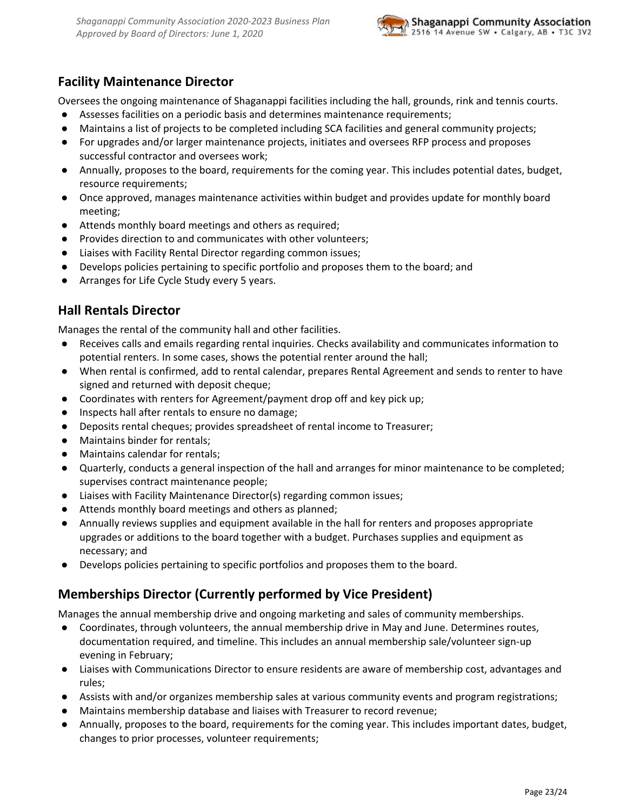

### <span id="page-22-0"></span>**Facility Maintenance Director**

Oversees the ongoing maintenance of Shaganappi facilities including the hall, grounds, rink and tennis courts.

- Assesses facilities on a periodic basis and determines maintenance requirements;
- Maintains a list of projects to be completed including SCA facilities and general community projects;
- For upgrades and/or larger maintenance projects, initiates and oversees RFP process and proposes successful contractor and oversees work;
- Annually, proposes to the board, requirements for the coming year. This includes potential dates, budget, resource requirements;
- Once approved, manages maintenance activities within budget and provides update for monthly board meeting;
- Attends monthly board meetings and others as required;
- Provides direction to and communicates with other volunteers;
- Liaises with Facility Rental Director regarding common issues;
- Develops policies pertaining to specific portfolio and proposes them to the board; and
- <span id="page-22-1"></span>● Arranges for Life Cycle Study every 5 years.

### **Hall Rentals Director**

Manages the rental of the community hall and other facilities.

- Receives calls and emails regarding rental inquiries. Checks availability and communicates information to potential renters. In some cases, shows the potential renter around the hall;
- When rental is confirmed, add to rental calendar, prepares Rental Agreement and sends to renter to have signed and returned with deposit cheque;
- Coordinates with renters for Agreement/payment drop off and key pick up;
- Inspects hall after rentals to ensure no damage;
- Deposits rental cheques; provides spreadsheet of rental income to Treasurer;
- Maintains binder for rentals;
- Maintains calendar for rentals;
- Quarterly, conducts a general inspection of the hall and arranges for minor maintenance to be completed; supervises contract maintenance people;
- Liaises with Facility Maintenance Director(s) regarding common issues;
- Attends monthly board meetings and others as planned;
- Annually reviews supplies and equipment available in the hall for renters and proposes appropriate upgrades or additions to the board together with a budget. Purchases supplies and equipment as necessary; and
- <span id="page-22-2"></span>Develops policies pertaining to specific portfolios and proposes them to the board.

### **Memberships Director (Currently performed by Vice President)**

Manages the annual membership drive and ongoing marketing and sales of community memberships.

- Coordinates, through volunteers, the annual membership drive in May and June. Determines routes, documentation required, and timeline. This includes an annual membership sale/volunteer sign-up evening in February;
- Liaises with Communications Director to ensure residents are aware of membership cost, advantages and rules;
- Assists with and/or organizes membership sales at various community events and program registrations;
- Maintains membership database and liaises with Treasurer to record revenue;
- Annually, proposes to the board, requirements for the coming year. This includes important dates, budget, changes to prior processes, volunteer requirements;